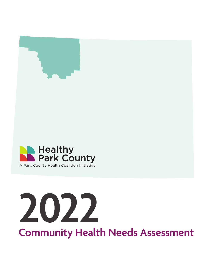

# **2022**

**Community Health Needs Assessment**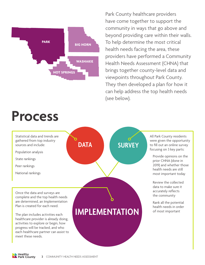

**Process**

Park County healthcare providers have come together to support the community in ways that go above and beyond providing care within their walls. To help determine the most critical health needs facing the area, these providers have performed a Community Health Needs Assessment (CHNA) that brings together county-level data and viewpoints throughout Park County. They then developed a plan for how it can help address the top health needs (see below).



Healthy<br>Park County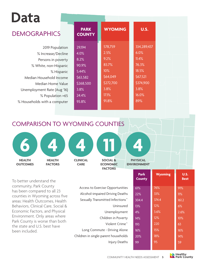## **Data**

#### DEMOGRAPHICS

2019 Population % Increase/Decline Persons in poverty % White, non-Hispanic % Hispanic Median Household Income Median Home Value Unemployment Rate (Aug '16) % Population >65 % Households with a computer

| <b>PARK</b><br><b>COUNTY</b> | <b>WYOMING</b> | <b>U.S.</b> |
|------------------------------|----------------|-------------|
| 29,194                       | 578,759        | 334,289,437 |
| 4.0%                         | 2.5%           | 6.0%        |
| 8.2%                         | 9.2%           | 11.4%       |
| 90.9%                        | 83.7%          | 76.3%       |
| 5.44%                        | 10%            | 18.5%       |
| \$63,582                     | \$64,049       | \$67,521    |
| \$268,500                    | \$272,700      | \$374,900   |
| 3.8%                         | 3.8%           | 3.8%        |
| 24.4%                        | 17.1%          | 16.0%       |
| 93.8%                        | 91.8%          | 89%         |
|                              |                |             |

COMPARISON TO WYOMING COUNTIES



To better understand the community, Park County has been compared to all 23 counties in Wyoming across five areas: Health Outcomes, Health Behaviors, Clinical Care, Social & Economic Factors, and Physical Environment. Only areas where Park County is worse than both the state and U.S. best have been included.

|   | Access to Exercise Opportunities     |
|---|--------------------------------------|
|   | Alcohol-impaired Driving Deaths      |
|   | Sexually Transmitted Infections^     |
|   | Uninsured                            |
| l | Unemployment                         |
|   | Children in Poverty                  |
|   | Violent Crime <sup>^</sup>           |
|   | Long Commute - Driving Alone         |
|   | Children in single-parent households |
|   | Injury Deaths                        |

| 1 V IRUINNEN I        |  |
|-----------------------|--|
| <b>Park</b><br>County |  |

| <b>Park</b><br><b>County</b> | <b>Wyoming</b> | U.S.<br><b>Best</b> |
|------------------------------|----------------|---------------------|
| 61%                          | 76%            | 91%                 |
| 22%                          | 33%            | 11%                 |
| 304.4                        | 374.4          | 161.2               |
| 13%                          | 12%            | 6%                  |
| 4%                           | 3.6%           | 2.6%                |
| 14%                          | 12%            | 10%                 |
| 193                          | 220            | 63                  |
| 16%                          | 15%            | 16%                 |
| 20%                          | 18%            | 14%                 |
| 99                           | 95             | 59                  |
|                              |                |                     |

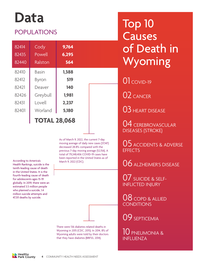## **Data**

#### POPULATIONS

| 82414<br>82435<br>82440 | Cody<br>Powell<br>Ralston | 9,764<br>6,295<br>564 |  |
|-------------------------|---------------------------|-----------------------|--|
| 82410                   | <b>Basin</b>              | 1,388                 |  |
| 82412                   | Byron                     | 519                   |  |
| 82421                   | Deaver                    | 140                   |  |
| 82426                   | Greybull                  | 1,981                 |  |
| 82431                   | Lovell                    | 2,237                 |  |
| 82401                   | Worland                   | 5,180                 |  |
|                         | <b>TOTAL 28,068</b>       |                       |  |

As of March 9, 2022, the current 7-day moving average of daily new cases (37,147) decreased 28.8% compared with the previous 7-day moving average (52,156). A total of 79,248,406 COVID-19 cases have been reported in the United States as of<br>According to America's March 9, 2022 (CDC).<br>Health Rankings, suicide is the

tenth-leading cause of death in the United States. It is the fourth-leading cause of death for adolescents ages 15-19 globally. In 2019, there were an estimated 3.5 million people who planned a suicide, 1.4 million suicide attempts and 47,511 deaths by suicide.



There were 136 diabetes related deaths in Wyoming in 2015 (CDC, 2015). In 2014, 8% of Wyoming adults were told by their doctors that they have diabetes (BRFSS, 2014).

Top 10 Causes of Death in Wyoming

01 covid-19

02 CANCER

03 HEART DISEASE

04 CEREBROVASCULAR DISEASES (STROKE)

05 ACCIDENTS & ADVERSE **FFFFCTS** 

06 ALZHEIMER'S DISEASE

07 SUICIDE & SELF-INFLICTED INJURY

08 COPD & ALLIED **CONDITIONS** 

09 SEPTICEMIA

 $10$  pneumonia & INFLUENZA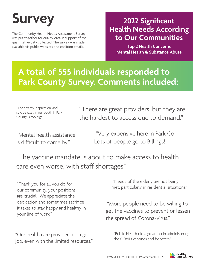The Community Health Needs Assessment Survey was put together for quality data in support of the quantitative data collected. The survey was made available via public websites and coalition emails.

#### Survey 2022 Significant **Health Needs According to Our Communities**

**Top 2 Health Concerns Mental Health & Substance Abuse**

### **A total of 555 individuals responded to Park County Survey. Comments included:**

"The anxiety, depression, and suicide rates in our youth in Park County is too high."

"There are great providers, but they are the hardest to access due to demand."

"Mental health assistance is difficult to come by."

 "Very expensive here in Park Co. Lots of people go to Billings!"

"The vaccine mandate is about to make access to health care even worse, with staff shortages."

our community, your positions are crucial. We appreciate the dedication and sometimes sacrifice it takes to stay happy and healthy in your line of work."

"Our health care providers do a good job, even with the limited resources."

 "Needs of the elderly are not being met, particularly in residential situations." "Thank you for all you do for

> "More people need to be willing to get the vaccines to prevent or lessen the spread of Corona-virus."

"Public Health did a great job in administering the COVID vaccines and boosters."

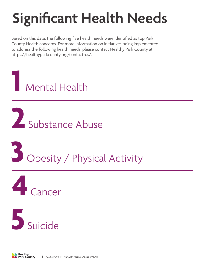## **Significant Health Needs**

Based on this data, the following five health needs were identified as top Park County Health concerns. For more information on initiatives being implemented to address the following health needs, please contact Healthy Park County at https://healthyparkcounty.org/contact-us/.